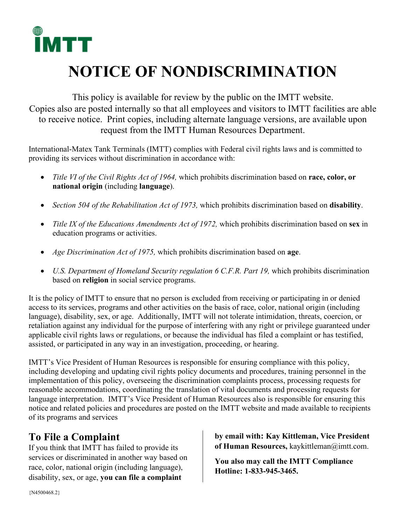

## **NOTICE OF NONDISCRIMINATION**

This policy is available for review by the public on the IMTT website. Copies also are posted internally so that all employees and visitors to IMTT facilities are able to receive notice. Print copies, including alternate language versions, are available upon request from the IMTT Human Resources Department.

International-Matex Tank Terminals (IMTT) complies with Federal civil rights laws and is committed to providing its services without discrimination in accordance with:

- *Title VI of the Civil Rights Act of 1964,* which prohibits discrimination based on **race, color, or national origin** (including **language**).
- *Section 504 of the Rehabilitation Act of 1973,* which prohibits discrimination based on **disability**.
- *Title IX of the Educations Amendments Act of 1972,* which prohibits discrimination based on **sex** in education programs or activities.
- *Age Discrimination Act of 1975,* which prohibits discrimination based on **age**.
- *U.S. Department of Homeland Security regulation 6 C.F.R. Part 19, which prohibits discrimination* based on **religion** in social service programs.

It is the policy of IMTT to ensure that no person is excluded from receiving or participating in or denied access to its services, programs and other activities on the basis of race, color, national origin (including language), disability, sex, or age. Additionally, IMTT will not tolerate intimidation, threats, coercion, or retaliation against any individual for the purpose of interfering with any right or privilege guaranteed under applicable civil rights laws or regulations, or because the individual has filed a complaint or has testified, assisted, or participated in any way in an investigation, proceeding, or hearing.

IMTT's Vice President of Human Resources is responsible for ensuring compliance with this policy, including developing and updating civil rights policy documents and procedures, training personnel in the implementation of this policy, overseeing the discrimination complaints process, processing requests for reasonable accommodations, coordinating the translation of vital documents and processing requests for language interpretation. IMTT's Vice President of Human Resources also is responsible for ensuring this notice and related policies and procedures are posted on the IMTT website and made available to recipients of its programs and services

## **To File a Complaint**

If you think that IMTT has failed to provide its services or discriminated in another way based on race, color, national origin (including language), disability, sex, or age, **you can file a complaint** 

**by email with: Kay Kittleman, Vice President of Human Resources,** kaykittleman@imtt.com.

**You also may call the IMTT Compliance Hotline: 1-833-945-3465.**